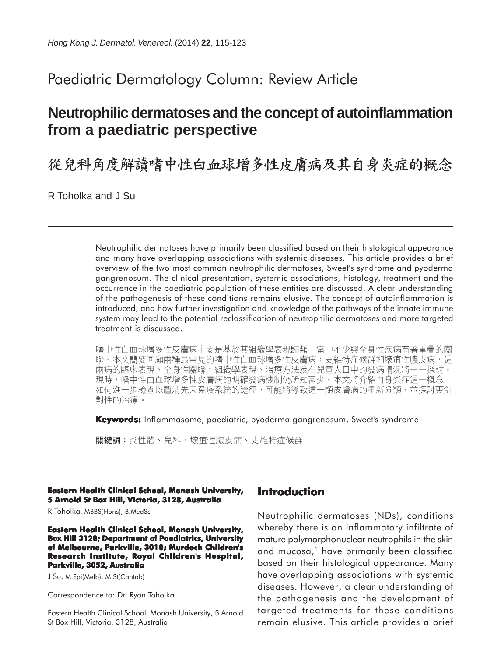# Paediatric Dermatology Column: Review Article

# **Neutrophilic dermatoses and the concept of autoinflammation from a paediatric perspective**

從兒科角度解讀嗜中性白血球增多性皮膚病及其自身炎症的概念

R Toholka and J Su

Neutrophilic dermatoses have primarily been classified based on their histological appearance and many have overlapping associations with systemic diseases. This article provides a brief overview of the two most common neutrophilic dermatoses, Sweet's syndrome and pyoderma gangrenosum. The clinical presentation, systemic associations, histology, treatment and the occurrence in the paediatric population of these entities are discussed. A clear understanding of the pathogenesis of these conditions remains elusive. The concept of autoinflammation is introduced, and how further investigation and knowledge of the pathways of the innate immune system may lead to the potential reclassification of neutrophilic dermatoses and more targeted treatment is discussed.

嗜中性白血球增多性皮膚病主要是基於其組織學表現歸類,當中不少與全身性疾病有著重疊的關 聯。本文簡要回顧兩種最常見的嗜中性白血球增多性皮膚病:史維特症候群和壞疽性膿皮病,這 兩病的臨床表現、全身性關聯、組織學表現、治療方法及在兒童人口中的發病情況將一一探討。 現時,嗜中性白血球增多性皮膚病的明確發病機制仍所知甚少。本文將介紹自身炎症這一概念, 如何進一步檢查以釐清先天免疫系統的途徑,可能將導致這一類皮膚病的重新分類,並探討更針 對性的治療。

**Keywords:** Inflammasome, paediatric, pyoderma gangrenosum, Sweet's syndrome

關鍵詞:炎性體、兒科、壞疽性膿皮病、史維特症候群

#### **Eastern Health Clinical School, Monash University, 5 Arnold St Box Hill, Victoria, 3128, Australia**

R Toholka, MBBS(Hons), B.MedSc

**Eastern Health Clinical School, Monash University, Box Hill 3128; Department of Paediatrics, University of Melbourne, Parkville, 3010; Murdoch Children's Research Institute, Royal Children's Hospital, Parkville, 3052, Australia**

J Su, M.Epi(Melb), M.St(Cantab)

Correspondence to: Dr. Ryan Toholka

Eastern Health Clinical School, Monash University, 5 Arnold St Box Hill, Victoria, 3128, Australia

# **Introduction**

Neutrophilic dermatoses (NDs), conditions whereby there is an inflammatory infiltrate of mature polymorphonuclear neutrophils in the skin and mucosa,<sup>1</sup> have primarily been classified based on their histological appearance. Many have overlapping associations with systemic diseases. However, a clear understanding of the pathogenesis and the development of targeted treatments for these conditions remain elusive. This article provides a brief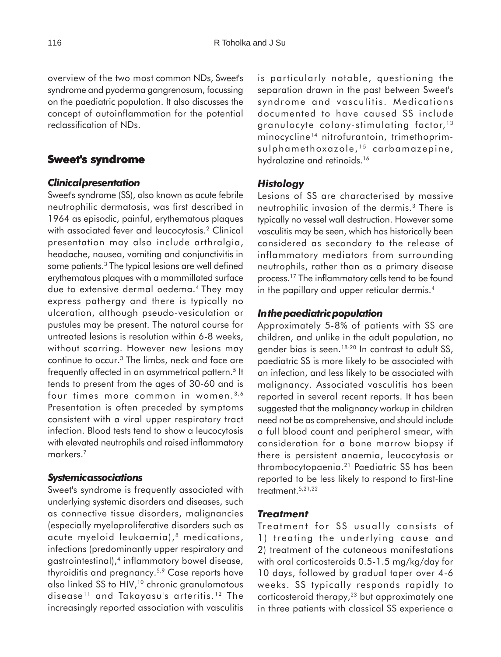overview of the two most common NDs, Sweet's syndrome and pyoderma gangrenosum, focussing on the paediatric population. It also discusses the concept of autoinflammation for the potential reclassification of NDs.

# **Sweet's syndrome**

## *Clinical presentation*

Sweet's syndrome (SS), also known as acute febrile neutrophilic dermatosis, was first described in 1964 as episodic, painful, erythematous plaques with associated fever and leucocytosis.<sup>2</sup> Clinical presentation may also include arthralgia, headache, nausea, vomiting and conjunctivitis in some patients.<sup>3</sup> The typical lesions are well defined erythematous plaques with a mammillated surface due to extensive dermal oedema.4 They may express pathergy and there is typically no ulceration, although pseudo-vesiculation or pustules may be present. The natural course for untreated lesions is resolution within 6-8 weeks, without scarring. However new lesions may continue to occur.3 The limbs, neck and face are frequently affected in an asymmetrical pattern.<sup>5</sup> It tends to present from the ages of 30-60 and is four times more common in women.<sup>3,6</sup> Presentation is often preceded by symptoms consistent with a viral upper respiratory tract infection. Blood tests tend to show a leucocytosis with elevated neutrophils and raised inflammatory markers.7

### *Systemic associations*

Sweet's syndrome is frequently associated with underlying systemic disorders and diseases, such as connective tissue disorders, malignancies (especially myeloproliferative disorders such as acute myeloid leukaemia),<sup>8</sup> medications, infections (predominantly upper respiratory and gastrointestinal),4 inflammatory bowel disease, thyroiditis and pregnancy.5,9 Case reports have also linked SS to HIV,<sup>10</sup> chronic granulomatous disease<sup>11</sup> and Takayasu's arteritis.<sup>12</sup> The increasingly reported association with vasculitis

is particularly notable, questioning the separation drawn in the past between Sweet's syndrome and vasculitis. Medications documented to have caused SS include granulocyte colony-stimulating factor, <sup>13</sup> minocycline<sup>14</sup> nitrofurantoin, trimethoprimsulphamethoxazole,<sup>15</sup> carbamazepine, hydralazine and retinoids.<sup>16</sup>

# *Histology*

Lesions of SS are characterised by massive neutrophilic invasion of the dermis.3 There is typically no vessel wall destruction. However some vasculitis may be seen, which has historically been considered as secondary to the release of inflammatory mediators from surrounding neutrophils, rather than as a primary disease process.17 The inflammatory cells tend to be found in the papillary and upper reticular dermis.<sup>4</sup>

### *In the paediatric population*

Approximately 5-8% of patients with SS are children, and unlike in the adult population, no gender bias is seen.<sup>18-20</sup> In contrast to adult SS, paediatric SS is more likely to be associated with an infection, and less likely to be associated with malignancy. Associated vasculitis has been reported in several recent reports. It has been suggested that the malignancy workup in children need not be as comprehensive, and should include a full blood count and peripheral smear, with consideration for a bone marrow biopsy if there is persistent anaemia, leucocytosis or thrombocytopaenia.21 Paediatric SS has been reported to be less likely to respond to first-line treatment.5,21,22

### *Treatment*

Treatment for SS usually consists of 1) treating the underlying cause and 2) treatment of the cutaneous manifestations with oral corticosteroids 0.5-1.5 mg/kg/day for 10 days, followed by gradual taper over 4-6 weeks. SS typically responds rapidly to corticosteroid therapy,<sup>23</sup> but approximately one in three patients with classical SS experience a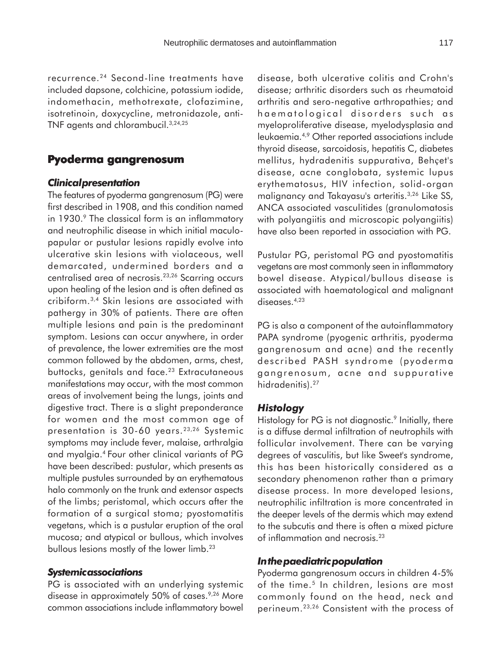recurrence.24 Second-line treatments have included dapsone, colchicine, potassium iodide, indomethacin, methotrexate, clofazimine, isotretinoin, doxycycline, metronidazole, anti-TNF agents and chlorambucil.3,24,25

## **Pyoderma gangrenosum**

### *Clinical presentation*

The features of pyoderma gangrenosum (PG) were first described in 1908, and this condition named in 1930.<sup>9</sup> The classical form is an inflammatory and neutrophilic disease in which initial maculopapular or pustular lesions rapidly evolve into ulcerative skin lesions with violaceous, well demarcated, undermined borders and a centralised area of necrosis.23,26 Scarring occurs upon healing of the lesion and is often defined as cribiform.3,4 Skin lesions are associated with pathergy in 30% of patients. There are often multiple lesions and pain is the predominant symptom. Lesions can occur anywhere, in order of prevalence, the lower extremities are the most common followed by the abdomen, arms, chest, buttocks, genitals and face.<sup>23</sup> Extracutaneous manifestations may occur, with the most common areas of involvement being the lungs, joints and digestive tract. There is a slight preponderance for women and the most common age of presentation is 30-60 years.<sup>23,26</sup> Systemic symptoms may include fever, malaise, arthralgia and myalgia.4 Four other clinical variants of PG have been described: pustular, which presents as multiple pustules surrounded by an erythematous halo commonly on the trunk and extensor aspects of the limbs; peristomal, which occurs after the formation of a surgical stoma; pyostomatitis vegetans, which is a pustular eruption of the oral mucosa; and atypical or bullous, which involves bullous lesions mostly of the lower limb.<sup>23</sup>

## *Systemic associations*

PG is associated with an underlying systemic disease in approximately 50% of cases.<sup>9,26</sup> More common associations include inflammatory bowel

disease, both ulcerative colitis and Crohn's disease; arthritic disorders such as rheumatoid arthritis and sero-negative arthropathies; and haematological disorders such as myeloproliferative disease, myelodysplasia and leukaemia.4,9 Other reported associations include thyroid disease, sarcoidosis, hepatitis C, diabetes mellitus, hydradenitis suppurativa, Behçet's disease, acne conglobata, systemic lupus erythematosus, HIV infection, solid-organ malignancy and Takayasu's arteritis.3,26 Like SS, ANCA associated vasculitides (granulomatosis with polyangiitis and microscopic polyangiitis) have also been reported in association with PG.

Pustular PG, peristomal PG and pyostomatitis vegetans are most commonly seen in inflammatory bowel disease. Atypical/bullous disease is associated with haematological and malignant diseases.<sup>4,23</sup>

PG is also a component of the autoinflammatory PAPA syndrome (pyogenic arthritis, pyoderma gangrenosum and acne) and the recently described PASH syndrome (pyoderma gangrenosum, acne and suppurative hidradenitis).<sup>27</sup>

#### *Histology*

Histology for PG is not diagnostic.<sup>9</sup> Initially, there is a diffuse dermal infiltration of neutrophils with follicular involvement. There can be varying degrees of vasculitis, but like Sweet's syndrome, this has been historically considered as a secondary phenomenon rather than a primary disease process. In more developed lesions, neutrophilic infiltration is more concentrated in the deeper levels of the dermis which may extend to the subcutis and there is often a mixed picture of inflammation and necrosis.23

### *In the paediatric population*

Pyoderma gangrenosum occurs in children 4-5% of the time.<sup>5</sup> In children, lesions are most commonly found on the head, neck and perineum.23,26 Consistent with the process of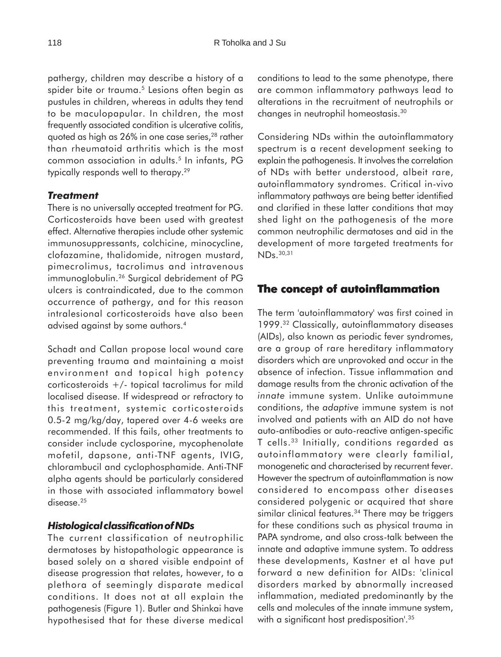pathergy, children may describe a history of a spider bite or trauma.<sup>5</sup> Lesions often begin as pustules in children, whereas in adults they tend to be maculopapular. In children, the most frequently associated condition is ulcerative colitis, quoted as high as 26% in one case series,<sup>28</sup> rather than rheumatoid arthritis which is the most common association in adults.5 In infants, PG typically responds well to therapy.<sup>29</sup>

# *Treatment*

There is no universally accepted treatment for PG. Corticosteroids have been used with greatest effect. Alternative therapies include other systemic immunosuppressants, colchicine, minocycline, clofazamine, thalidomide, nitrogen mustard, pimecrolimus, tacrolimus and intravenous immunoglobulin.<sup>26</sup> Surgical debridement of PG ulcers is contraindicated, due to the common occurrence of pathergy, and for this reason intralesional corticosteroids have also been advised against by some authors.4

Schadt and Callan propose local wound care preventing trauma and maintaining a moist environment and topical high potency corticosteroids +/- topical tacrolimus for mild localised disease. If widespread or refractory to this treatment, systemic corticosteroids 0.5-2 mg/kg/day, tapered over 4-6 weeks are recommended. If this fails, other treatments to consider include cyclosporine, mycophenolate mofetil, dapsone, anti-TNF agents, IVIG, chlorambucil and cyclophosphamide. Anti-TNF alpha agents should be particularly considered in those with associated inflammatory bowel disease.<sup>25</sup>

## *Histological classification of NDs*

The current classification of neutrophilic dermatoses by histopathologic appearance is based solely on a shared visible endpoint of disease progression that relates, however, to a plethora of seemingly disparate medical conditions. It does not at all explain the pathogenesis (Figure 1). Butler and Shinkai have hypothesised that for these diverse medical

conditions to lead to the same phenotype, there are common inflammatory pathways lead to alterations in the recruitment of neutrophils or changes in neutrophil homeostasis.30

Considering NDs within the autoinflammatory spectrum is a recent development seeking to explain the pathogenesis. It involves the correlation of NDs with better understood, albeit rare, autoinflammatory syndromes. Critical in-vivo inflammatory pathways are being better identified and clarified in these latter conditions that may shed light on the pathogenesis of the more common neutrophilic dermatoses and aid in the development of more targeted treatments for NDs.30,31

# **The concept of autoinflammation**

The term 'autoinflammatory' was first coined in 1999.32 Classically, autoinflammatory diseases (AIDs), also known as periodic fever syndromes, are a group of rare hereditary inflammatory disorders which are unprovoked and occur in the absence of infection. Tissue inflammation and damage results from the chronic activation of the *innate* immune system. Unlike autoimmune conditions, the *adaptive* immune system is not involved and patients with an AID do not have auto-antibodies or auto-reactive antigen-specific T cells.33 Initially, conditions regarded as autoinflammatory were clearly familial, monogenetic and characterised by recurrent fever. However the spectrum of autoinflammation is now considered to encompass other diseases considered polygenic or acquired that share similar clinical features.<sup>34</sup> There may be triggers for these conditions such as physical trauma in PAPA syndrome, and also cross-talk between the innate and adaptive immune system. To address these developments, Kastner et al have put forward a new definition for AIDs: 'clinical disorders marked by abnormally increased inflammation, mediated predominantly by the cells and molecules of the innate immune system, with a significant host predisposition<sup>'.35</sup>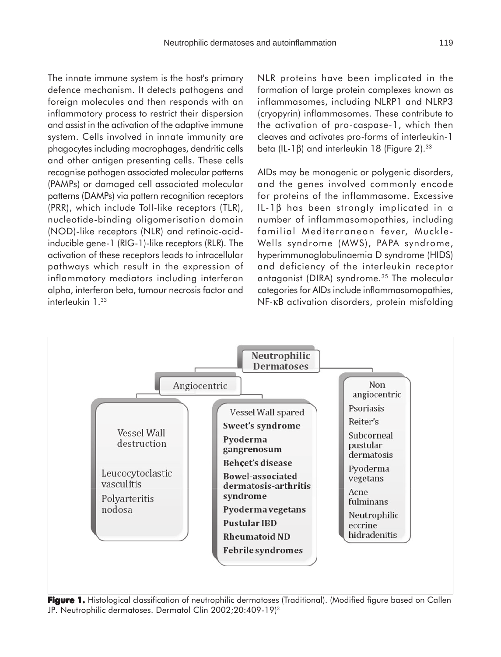The innate immune system is the host's primary defence mechanism. It detects pathogens and foreign molecules and then responds with an inflammatory process to restrict their dispersion and assist in the activation of the adaptive immune system. Cells involved in innate immunity are phagocytes including macrophages, dendritic cells and other antigen presenting cells. These cells recognise pathogen associated molecular patterns (PAMPs) or damaged cell associated molecular patterns (DAMPs) via pattern recognition receptors (PRR), which include Toll-like receptors (TLR), nucleotide-binding oligomerisation domain (NOD)-like receptors (NLR) and retinoic-acidinducible gene-1 (RIG-1)-like receptors (RLR). The activation of these receptors leads to intracellular pathways which result in the expression of inflammatory mediators including interferon alpha, interferon beta, tumour necrosis factor and interleukin 1.33

NLR proteins have been implicated in the formation of large protein complexes known as inflammasomes, including NLRP1 and NLRP3 (cryopyrin) inflammasomes. These contribute to the activation of pro-caspase-1, which then cleaves and activates pro-forms of interleukin-1 beta (IL-1β) and interleukin 18 (Figure 2).<sup>33</sup>

AIDs may be monogenic or polygenic disorders, and the genes involved commonly encode for proteins of the inflammasome. Excessive IL-1β has been strongly implicated in a number of inflammasomopathies, including familial Mediterranean fever, Muckle-Wells syndrome (MWS), PAPA syndrome, hyperimmunoglobulinaemia D syndrome (HIDS) and deficiency of the interleukin receptor antagonist (DIRA) syndrome.35 The molecular categories for AIDs include inflammasomopathies, NF-κB activation disorders, protein misfolding



Figure 1. Histological classification of neutrophilic dermatoses (Traditional). (Modified figure based on Callen JP. Neutrophilic dermatoses. Dermatol Clin 2002;20:409-19)<sup>3</sup>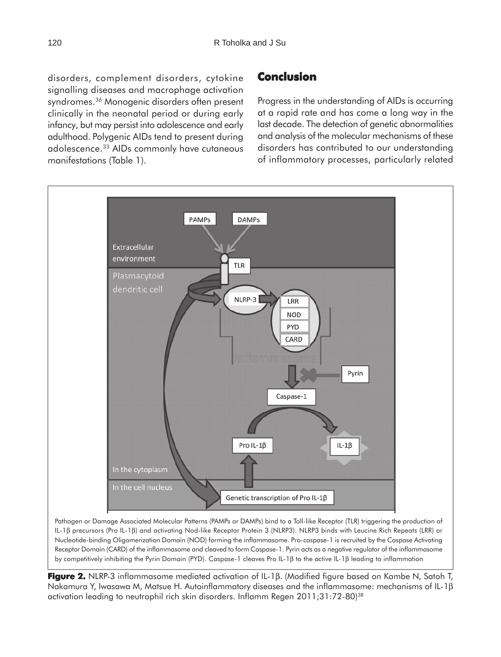disorders, complement disorders, cytokine signalling diseases and macrophage activation syndromes.<sup>36</sup> Monogenic disorders often present clinically in the neonatal period or during early infancy, but may persist into adolescence and early adulthood. Polygenic AIDs tend to present during adolescence.33 AIDs commonly have cutaneous manifestations (Table 1).

# **Conclusion**

Progress in the understanding of AIDs is occurring at a rapid rate and has come a long way in the last decade. The detection of genetic abnormalities and analysis of the molecular mechanisms of these disorders has contributed to our understanding of inflammatory processes, particularly related



**Figure 2.** NLRP-3 inflammasome mediated activation of IL-1β. (Modified figure based on Kambe N, Satoh T, Nakamura Y, Iwasawa M, Matsue H. Autoinflammatory diseases and the inflammasome: mechanisms of IL-1β activation leading to neutrophil rich skin disorders. Inflamm Regen 2011;31:72-80)38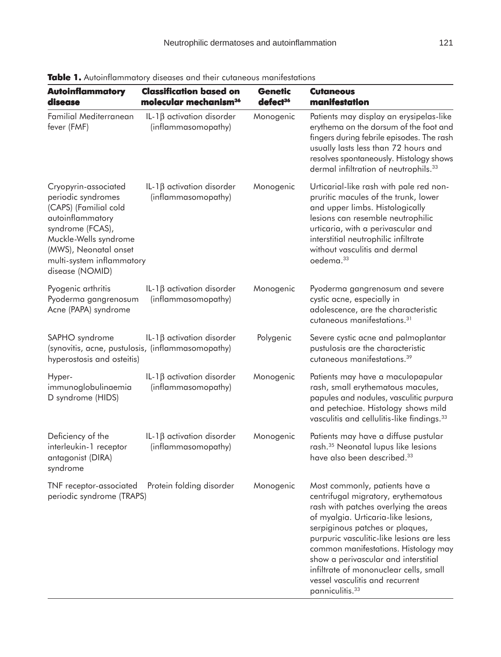| <b>Autoinflammatory</b><br>disease                                                                                                                                                                            | <b>Classification based on</b><br>molecular mechanism <sup>36</sup> | <b>Genetic</b><br>defect <sup>36</sup> | <b>Cutaneous</b><br>manifestation                                                                                                                                                                                                                                                                                                                                                                                                 |
|---------------------------------------------------------------------------------------------------------------------------------------------------------------------------------------------------------------|---------------------------------------------------------------------|----------------------------------------|-----------------------------------------------------------------------------------------------------------------------------------------------------------------------------------------------------------------------------------------------------------------------------------------------------------------------------------------------------------------------------------------------------------------------------------|
| Familial Mediterranean<br>fever (FMF)                                                                                                                                                                         | IL-1 $\beta$ activation disorder<br>(inflammasomopathy)             | Monogenic                              | Patients may display an erysipelas-like<br>erythema on the dorsum of the foot and<br>fingers during febrile episodes. The rash<br>usually lasts less than 72 hours and<br>resolves spontaneously. Histology shows<br>dermal infiltration of neutrophils. <sup>33</sup>                                                                                                                                                            |
| Cryopyrin-associated<br>periodic syndromes<br>(CAPS) (Familial cold<br>autoinflammatory<br>syndrome (FCAS),<br>Muckle-Wells syndrome<br>(MWS), Neonatal onset<br>multi-system inflammatory<br>disease (NOMID) | IL-1 $\beta$ activation disorder<br>(inflammasomopathy)             | Monogenic                              | Urticarial-like rash with pale red non-<br>pruritic macules of the trunk, lower<br>and upper limbs. Histologically<br>lesions can resemble neutrophilic<br>urticaria, with a perivascular and<br>interstitial neutrophilic infiltrate<br>without vasculitis and dermal<br>oedema. <sup>33</sup>                                                                                                                                   |
| Pyogenic arthritis<br>Pyoderma gangrenosum<br>Acne (PAPA) syndrome                                                                                                                                            | IL-1 $\beta$ activation disorder<br>(inflammasomopathy)             | Monogenic                              | Pyoderma gangrenosum and severe<br>cystic acne, especially in<br>adolescence, are the characteristic<br>cutaneous manifestations. <sup>31</sup>                                                                                                                                                                                                                                                                                   |
| SAPHO syndrome<br>(synovitis, acne, pustulosis, (inflammasomopathy)<br>hyperostosis and osteitis)                                                                                                             | IL-1 $\beta$ activation disorder                                    | Polygenic                              | Severe cystic acne and palmoplantar<br>pustulosis are the characteristic<br>cutaneous manifestations. <sup>39</sup>                                                                                                                                                                                                                                                                                                               |
| Hyper-<br>immunoglobulinaemia<br>D syndrome (HIDS)                                                                                                                                                            | IL-1 $\beta$ activation disorder<br>(inflammasomopathy)             | Monogenic                              | Patients may have a maculopapular<br>rash, small erythematous macules,<br>papules and nodules, vasculitic purpura<br>and petechiae. Histology shows mild<br>vasculitis and cellulitis-like findings. <sup>33</sup>                                                                                                                                                                                                                |
| Deficiency of the<br>interleukin-1 receptor<br>antagonist (DIRA)<br>syndrome                                                                                                                                  | IL-1 $\beta$ activation disorder<br>(inflammasomopathy)             | Monogenic                              | Patients may have a diffuse pustular<br>rash. <sup>35</sup> Neonatal lupus like lesions<br>have also been described. <sup>33</sup>                                                                                                                                                                                                                                                                                                |
| TNF receptor-associated<br>periodic syndrome (TRAPS)                                                                                                                                                          | Protein folding disorder                                            | Monogenic                              | Most commonly, patients have a<br>centrifugal migratory, erythematous<br>rash with patches overlying the areas<br>of myalgia. Urticaria-like lesions,<br>serpiginous patches or plaques,<br>purpuric vasculitic-like lesions are less<br>common manifestations. Histology may<br>show a perivascular and interstitial<br>infiltrate of mononuclear cells, small<br>vessel vasculitis and recurrent<br>panniculitis. <sup>33</sup> |

**Table 1.** Autoinflammatory diseases and their cutaneous manifestations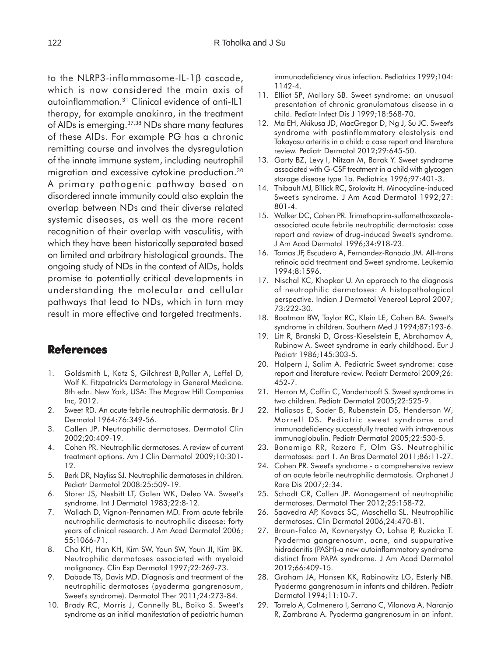to the NLRP3-inflammasome-IL-1β cascade, which is now considered the main axis of autoinflammation.31 Clinical evidence of anti-IL1 therapy, for example anakinra, in the treatment of AIDs is emerging.<sup>37,38</sup> NDs share many features of these AIDs. For example PG has a chronic remitting course and involves the dysregulation of the innate immune system, including neutrophil migration and excessive cytokine production.30 A primary pathogenic pathway based on disordered innate immunity could also explain the overlap between NDs and their diverse related systemic diseases, as well as the more recent recognition of their overlap with vasculitis, with which they have been historically separated based on limited and arbitrary histological grounds. The ongoing study of NDs in the context of AIDs, holds promise to potentially critical developments in understanding the molecular and cellular pathways that lead to NDs, which in turn may result in more effective and targeted treatments.

# **References**

- 1. Goldsmith L, Katz S, Gilchrest B,Paller A, Leffel D, Wolf K. Fitzpatrick's Dermatology in General Medicine. 8th edn. New York, USA: The Mcgraw Hill Companies Inc, 2012.
- 2. Sweet RD. An acute febrile neutrophilic dermatosis. Br J Dermatol 1964:76:349-56.
- 3. Callen JP. Neutrophilic dermatoses. Dermatol Clin 2002;20:409-19.
- 4. Cohen PR. Neutrophilic dermatoses. A review of current treatment options. Am J Clin Dermatol 2009;10:301- 12.
- 5. Berk DR, Nayliss SJ. Neutrophilic dermatoses in children. Pediatr Dermatol 2008:25:509-19.
- 6. Storer JS, Nesbitt LT, Galen WK, Deleo VA. Sweet's syndrome. Int J Dermatol 1983;22:8-12.
- 7. Wallach D, Vignon-Pennamen MD. From acute febrile neutrophilic dermatosis to neutrophilic disease: forty years of clinical research. J Am Acad Dermatol 2006; 55:1066-71.
- 8. Cho KH, Han KH, Kim SW, Youn SW, Youn JI, Kim BK. Neutrophilic dermatoses associated with myeloid malignancy. Clin Exp Dermatol 1997;22:269-73.
- 9. Dabade TS, Davis MD. Diagnosis and treatment of the neutrophilic dermatoses (pyoderma gangrenosum, Sweet's syndrome). Dermatol Ther 2011;24:273-84.
- 10. Brady RC, Morris J, Connelly BL, Boiko S. Sweet's syndrome as an initial manifestation of pediatric human

immunodeficiency virus infection. Pediatrics 1999;104: 1142-4.

- 11. Elliot SP, Mallory SB. Sweet syndrome: an unusual presentation of chronic granulomatous disease in a child. Pediatr Infect Dis J 1999;18:568-70.
- 12. Ma EH, Akikusa JD, MacGregor D, Ng J, Su JC. Sweet's syndrome with postinflammatory elastolysis and Takayasu arteritis in a child: a case report and literature review. Pediatr Dermatol 2012;29:645-50.
- 13. Garty BZ, Levy I, Nitzan M, Barak Y. Sweet syndrome associated with G-CSF treatment in a child with glycogen storage disease type 1b. Pediatrics 1996;97:401-3.
- 14. Thibault MJ, Billick RC, Srolovitz H. Minocycline-induced Sweet's syndrome. J Am Acad Dermatol 1992;27: 801-4.
- 15. Walker DC, Cohen PR. Trimethoprim-sulfamethoxazoleassociated acute febrile neutrophilic dermatosis: case report and review of drug-induced Sweet's syndrome. J Am Acad Dermatol 1996;34:918-23.
- 16. Tomas JF, Escudero A, Fernandez-Ranada JM. All-trans retinoic acid treatment and Sweet syndrome. Leukemia 1994;8:1596.
- 17. Nischal KC, Khopkar U. An approach to the diagnosis of neutrophilic dermatoses: A histopathological perspective. Indian J Dermatol Venereol Leprol 2007; 73:222-30.
- 18. Boatman BW, Taylor RC, Klein LE, Cohen BA. Sweet's syndrome in children. Southern Med J 1994;87:193-6.
- 19. Litt R, Branski D, Gross-Kieselstein E, Abrahamov A, Rubinow A. Sweet syndrome in early childhood. Eur J Pediatr 1986;145:303-5.
- 20. Halpern J, Salim A. Pediatric Sweet syndrome: case report and literature review. Pediatr Dermatol 2009;26: 452-7.
- 21. Herron M, Coffin C, Vanderhooft S. Sweet syndrome in two children. Pediatr Dermatol 2005;22:525-9.
- 22. Haliasos E, Soder B, Rubenstein DS, Henderson W, Morrell DS. Pediatric sweet syndrome and immunodeficiency successfully treated with intravenous immunoglobulin. Pediatr Dermatol 2005;22:530-5.
- 23. Bonamigo RR, Razera F, Olm GS. Neutrophilic dermatoses: part 1. An Bras Dermatol 2011;86:11-27.
- 24. Cohen PR. Sweet's syndrome a comprehensive review of an acute febrile neutrophilic dermatosis. Orphanet J Rare Dis 2007;2:34.
- 25. Schadt CR, Callen JP. Management of neutrophilic dermatoses. Dermatol Ther 2012;25:158-72.
- 26. Saavedra AP, Kovacs SC, Moschella SL. Neutrophilic dermatoses. Clin Dermatol 2006;24:470-81.
- 27. Braun-Falco M, Kovnerystyy O, Lohse P, Ruzicka T. Pyoderma gangrenosum, acne, and suppurative hidradenitis (PASH)-a new autoinflammatory syndrome distinct from PAPA syndrome. J Am Acad Dermatol 2012;66:409-15.
- 28. Graham JA, Hansen KK, Rabinowitz LG, Esterly NB. Pyoderma gangrenosum in infants and children. Pediatr Dermatol 1994;11:10-7.
- 29. Torrelo A, Colmenero I, Serrano C, Vilanova A, Naranjo R, Zambrano A. Pyoderma gangrenosum in an infant.